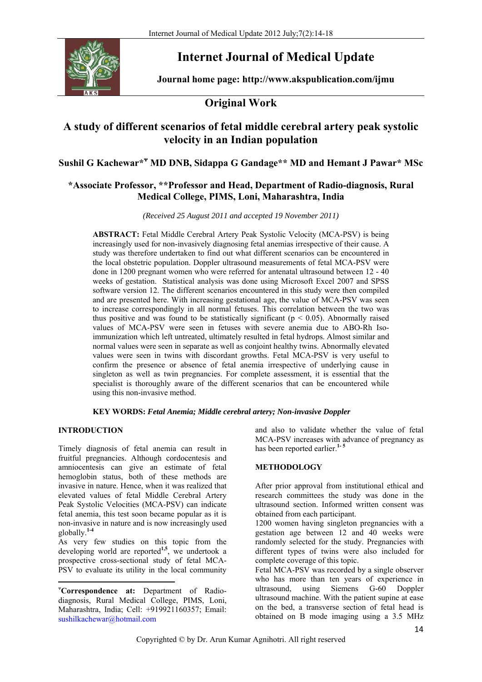

# **Internet Journal of Medical Update**

**Journal home page: http://www.akspublication.com/ijmu**

## **Original Work**

## **A study of different scenarios of fetal middle cerebral artery peak systolic velocity in an Indian population**

Sushil G Kachewar\*<sup>\*</sup> MD DNB, Sidappa G Gandage\*\* MD and Hemant J Pawar\* MSc

## **\*Associate Professor, \*\*Professor and Head, Department of Radio-diagnosis, Rural Medical College, PIMS, Loni, Maharashtra, India**

*(Received 25 August 2011 and accepted 19 November 2011)* 

**ABSTRACT:** Fetal Middle Cerebral Artery Peak Systolic Velocity (MCA-PSV) is being increasingly used for non-invasively diagnosing fetal anemias irrespective of their cause. A study was therefore undertaken to find out what different scenarios can be encountered in the local obstetric population. Doppler ultrasound measurements of fetal MCA-PSV were done in 1200 pregnant women who were referred for antenatal ultrasound between 12 - 40 weeks of gestation. Statistical analysis was done using Microsoft Excel 2007 and SPSS software version 12. The different scenarios encountered in this study were then compiled and are presented here. With increasing gestational age, the value of MCA-PSV was seen to increase correspondingly in all normal fetuses. This correlation between the two was thus positive and was found to be statistically significant ( $p < 0.05$ ). Abnormally raised values of MCA-PSV were seen in fetuses with severe anemia due to ABO-Rh Isoimmunization which left untreated, ultimately resulted in fetal hydrops. Almost similar and normal values were seen in separate as well as conjoint healthy twins. Abnormally elevated values were seen in twins with discordant growths. Fetal MCA-PSV is very useful to confirm the presence or absence of fetal anemia irrespective of underlying cause in singleton as well as twin pregnancies. For complete assessment, it is essential that the specialist is thoroughly aware of the different scenarios that can be encountered while using this non-invasive method.

### **KEY WORDS:** *Fetal Anemia; Middle cerebral artery; Non-invasive Doppler*

### **INTRODUCTION<sup>ᴪ</sup>**

Timely diagnosis of fetal anemia can result in fruitful pregnancies. Although cordocentesis and amniocentesis can give an estimate of fetal hemoglobin status, both of these methods are invasive in nature. Hence, when it was realized that elevated values of fetal Middle Cerebral Artery Peak Systolic Velocities (MCA-PSV) can indicate fetal anemia, this test soon became popular as it is non-invasive in nature and is now increasingly used globally.**1-4**

As very few studies on this topic from the developing world are reported**1,5**, we undertook a prospective cross-sectional study of fetal MCA-PSV to evaluate its utility in the local community

ᴪ **Correspondence at:** Department of Radiodiagnosis, Rural Medical College, PIMS, Loni, Maharashtra, India; Cell: +919921160357; Email: sushilkachewar@hotmail.com

and also to validate whether the value of fetal MCA-PSV increases with advance of pregnancy as has been reported earlier.<sup>1-5</sup>

### **METHODOLOGY**

After prior approval from institutional ethical and research committees the study was done in the ultrasound section. Informed written consent was obtained from each participant.

1200 women having singleton pregnancies with a gestation age between 12 and 40 weeks were randomly selected for the study. Pregnancies with different types of twins were also included for complete coverage of this topic.

Fetal MCA-PSV was recorded by a single observer who has more than ten years of experience in ultrasound, using Siemens G-60 Doppler ultrasound machine. With the patient supine at ease on the bed, a transverse section of fetal head is obtained on B mode imaging using a 3.5 MHz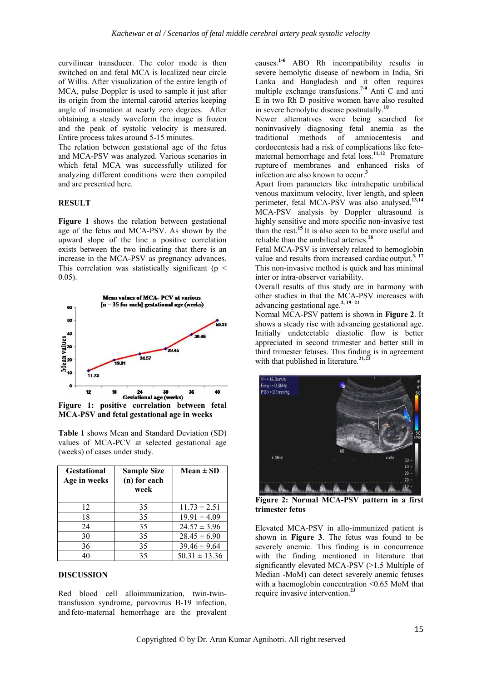curvilinear transducer. The color mode is then switched on and fetal MCA is localized near circle of Willis. After visualization of the entire length of MCA, pulse Doppler is used to sample it just after its origin from the internal carotid arteries keeping angle of insonation at nearly zero degrees. After obtaining a steady waveform the image is frozen and the peak of systolic velocity is measured. Entire process takes around 5-15 minutes.

The relation between gestational age of the fetus and MCA-PSV was analyzed. Various scenarios in which fetal MCA was successfully utilized for analyzing different conditions were then compiled and are presented here.

#### **RESULT**

**Figure 1** shows the relation between gestational age of the fetus and MCA-PSV. As shown by the upward slope of the line a positive correlation exists between the two indicating that there is an increase in the MCA-PSV as pregnancy advances. This correlation was statistically significant ( $p \leq$ 0.05).



**MCA-PSV and fetal gestational age in weeks** 

|                               |  |  |  |  |  | <b>Table 1</b> shows Mean and Standard Deviation (SD) |  |  |
|-------------------------------|--|--|--|--|--|-------------------------------------------------------|--|--|
|                               |  |  |  |  |  | values of MCA-PCV at selected gestational age         |  |  |
| (weeks) of cases under study. |  |  |  |  |  |                                                       |  |  |

| <b>Gestational</b><br>Age in weeks | <b>Sample Size</b><br>(n) for each<br>week | $Mean \pm SD$     |
|------------------------------------|--------------------------------------------|-------------------|
| 12                                 | 35                                         | $11.73 \pm 2.51$  |
| 18                                 | 35                                         | $19.91 \pm 4.09$  |
| 24                                 | 35                                         | $24.57 \pm 3.96$  |
| 30                                 | 35                                         | $28.45 \pm 6.90$  |
| 36                                 | 35                                         | $39.46 \pm 9.64$  |
| 40                                 | 35                                         | $50.31 \pm 13.36$ |

#### **DISCUSSION**

Red blood cell alloimmunization, twin-twintransfusion syndrome, parvovirus B-19 infection, and feto-maternal hemorrhage are the prevalent causes.**1-6** ABO Rh incompatibility results in severe hemolytic disease of newborn in India, Sri Lanka and Bangladesh and it often requires multiple exchange transfusions.**7-9** Anti C and anti E in two Rh D positive women have also resulted in severe hemolytic disease postnatally.**<sup>10</sup>**

Newer alternatives were being searched for noninvasively diagnosing fetal anemia as the traditional methods of amniocentesis and cordocentesis had a risk of complications like fetomaternal hemorrhage and fetal loss.<sup>11,12</sup> Premature rupture of membranes and enhanced risks of infection are also known to occur.**<sup>3</sup>**

Apart from parameters like intrahepatic umbilical venous maximum velocity, liver length, and spleen perimeter, fetal MCA-PSV was also analysed.**13,14** MCA-PSV analysis by Doppler ultrasound is highly sensitive and more specific non-invasive test than the rest.**<sup>15</sup>** It is also seen to be more useful and reliable than the umbilical arteries.**<sup>16</sup>**

Fetal MCA-PSV is inversely related to hemoglobin value and results from increased cardiac output.**3, 17** This non-invasive method is quick and has minimal inter or intra-observer variability.

Overall results of this study are in harmony with other studies in that the MCA-PSV increases with advancing gestational age.**2, 19- 21**

Normal MCA-PSV pattern is shown in **Figure 2**. It shows a steady rise with advancing gestational age. Initially undetectable diastolic flow is better appreciated in second trimester and better still in third trimester fetuses. This finding is in agreement with that published in literature.<sup>21,2</sup>



**Figure 2: Normal MCA-PSV pattern in a first trimester fetus**

Elevated MCA-PSV in allo-immunized patient is shown in **Figure 3**. The fetus was found to be severely anemic. This finding is in concurrence with the finding mentioned in literature that significantly elevated MCA-PSV (>1.5 Multiple of Median -MoM) can detect severely anemic fetuses with a haemoglobin concentration <0.65 MoM that require invasive intervention.**<sup>23</sup>**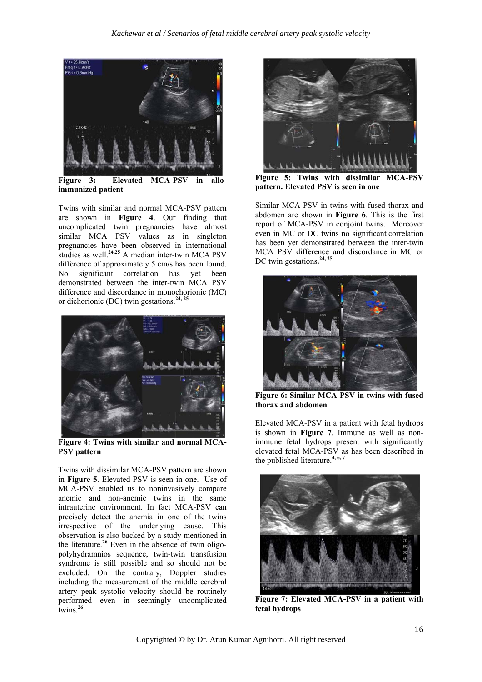

**Figure 3: Elevated MCA-PSV in alloimmunized patient** 

Twins with similar and normal MCA-PSV pattern are shown in **Figure 4**. Our finding that uncomplicated twin pregnancies have almost similar MCA PSV values as in singleton pregnancies have been observed in international studies as well.<sup>24,25</sup> A median inter-twin MCA PSV difference of approximately 5 cm**/**s has been found. No significant correlation has yet been demonstrated between the inter-twin MCA PSV difference and discordance in monochorionic (MC) or dichorionic (DC) twin gestations.**24, 25**



**Figure 4: Twins with similar and normal MCA-PSV pattern** 

Twins with dissimilar MCA-PSV pattern are shown in **Figure 5**. Elevated PSV is seen in one. Use of MCA-PSV enabled us to noninvasively compare anemic and non-anemic twins in the same intrauterine environment. In fact MCA-PSV can precisely detect the anemia in one of the twins irrespective of the underlying cause. This observation is also backed by a study mentioned in the literature.**<sup>26</sup>** Even in the absence of twin oligopolyhydramnios sequence, twin-twin transfusion syndrome is still possible and so should not be excluded. On the contrary, Doppler studies including the measurement of the middle cerebral artery peak systolic velocity should be routinely performed even in seemingly uncomplicated twins.**<sup>26</sup>**



**Figure 5: Twins with dissimilar MCA-PSV pattern. Elevated PSV is seen in one** 

Similar MCA-PSV in twins with fused thorax and abdomen are shown in **Figure 6**. This is the first report of MCA-PSV in conjoint twins. Moreover even in MC or DC twins no significant correlation has been yet demonstrated between the inter-twin MCA PSV difference and discordance in MC or DC twin gestations**. 24, 25**



**Figure 6: Similar MCA-PSV in twins with fused thorax and abdomen** 

Elevated MCA-PSV in a patient with fetal hydrops is shown in **Figure 7**. Immune as well as nonimmune fetal hydrops present with significantly elevated fetal MCA-PSV as has been described in the published literature.**4, 6, 7** 



**Figure 7: Elevated MCA-PSV in a patient with fetal hydrops**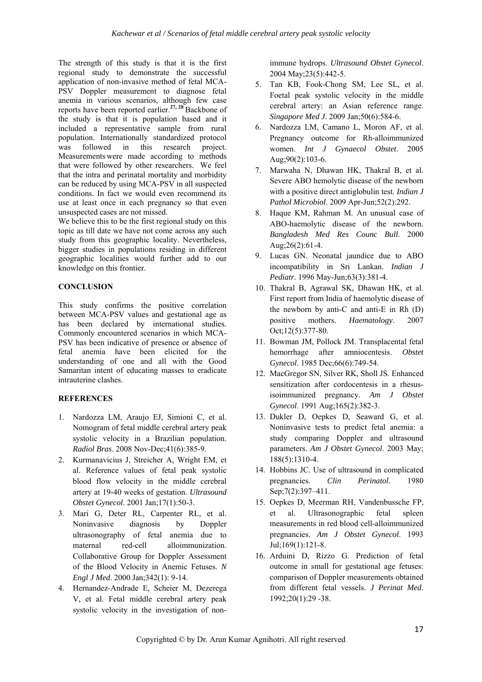The strength of this study is that it is the first regional study to demonstrate the successful application of non-invasive method of fetal MCA-PSV Doppler measurement to diagnose fetal anemia in various scenarios, although few case reports have been reported earlier.**27, 28** Backbone of the study is that it is population based and it included a representative sample from rural population. Internationally standardized protocol was followed in this research project. Measurements were made according to methods that were followed by other researchers. We feel that the intra and perinatal mortality and morbidity can be reduced by using MCA-PSV in all suspected conditions. In fact we would even recommend its use at least once in each pregnancy so that even unsuspected cases are not missed.

We believe this to be the first regional study on this topic as till date we have not come across any such study from this geographic locality. Nevertheless, bigger studies in populations residing in different geographic localities would further add to our knowledge on this frontier.

#### **CONCLUSION**

This study confirms the positive correlation between MCA-PSV values and gestational age as has been declared by international studies. Commonly encountered scenarios in which MCA-PSV has been indicative of presence or absence of fetal anemia have been elicited for the understanding of one and all with the Good Samaritan intent of educating masses to eradicate intrauterine clashes.

#### **REFERENCES**

- 1. Nardozza LM, Araujo EJ, Simioni C, et al. Nomogram of fetal middle cerebral artery peak systolic velocity in a Brazilian population. *Radiol Bras*. 2008 Nov-Dec;41(6):385-9.
- 2. Kurmanavicius J, Streicher A, Wright EM, et al. Reference values of fetal peak systolic blood flow velocity in the middle cerebral artery at 19-40 weeks of gestation. *Ultrasound Obstet Gynecol*. 2001 Jan;17(1):50-3.
- 3. Mari G, Deter RL, Carpenter RL, et al. Noninvasive diagnosis by Doppler ultrasonography of fetal anemia due to maternal red-cell alloimmunization. Collaborative Group for Doppler Assessment of the Blood Velocity in Anemic Fetuses. *N Engl J Med*. 2000 Jan;342(1): 9-14.
- 4. Hernandez-Andrade E, Scheier M, Dezerega V, et al. Fetal middle cerebral artery peak systolic velocity in the investigation of non-

immune hydrops. *Ultrasound Obstet Gynecol*. 2004 May;23(5):442-5.

- 5. Tan KB, Fook-Chong SM, Lee SL, et al. Foetal peak systolic velocity in the middle cerebral artery: an Asian reference range. *Singapore Med J*. 2009 Jan;50(6):584-6.
- 6. Nardozza LM, Camano L, Moron AF, et al. Pregnancy outcome for Rh-alloimmunized women. *Int J Gynaecol Obstet*. 2005 Aug;90(2):103-6.
- 7. Marwaha N, Dhawan HK, Thakral B, et al. Severe ABO hemolytic disease of the newborn with a positive direct antiglobulin test. *Indian J Pathol Microbiol*. 2009 Apr-Jun;52(2):292.
- 8. Haque KM, Rahman M. An unusual case of ABO-haemolytic disease of the newborn. *Bangladesh Med Res Counc Bull*. 2000 Aug;26(2):61-4.
- 9. Lucas GN. Neonatal jaundice due to ABO incompatibility in Sri Lankan. *Indian J Pediatr*. 1996 May-Jun;63(3):381-4.
- 10. Thakral B, Agrawal SK, Dhawan HK, et al. First report from India of haemolytic disease of the newborn by anti-C and anti-E in Rh (D) positive mothers. *Haematology*. 2007 Oct;12(5):377-80.
- 11. Bowman JM, Pollock JM. Transplacental fetal hemorrhage after amniocentesis. *Obstet Gynecol*. 1985 Dec;66(6):749-54.
- 12. MacGregor SN, Silver RK, Sholl JS. Enhanced sensitization after cordocentesis in a rhesusisoimmunized pregnancy. *Am J Obstet Gynecol*. 1991 Aug;165(2):382-3.
- 13. Dukler D, Oepkes D, Seaward G, et al. Noninvasive tests to predict fetal anemia: a study comparing Doppler and ultrasound parameters. *Am J Obstet Gynecol*. 2003 May; 188(5):1310-4.
- 14. Hobbins JC. Use of ultrasound in complicated pregnancies. *Clin Perinatol*. 1980 Sep;7(2):397-411.
- 15. Oepkes D, Meerman RH, Vandenbussche FP, et al. Ultrasonographic fetal spleen measurements in red blood cell-alloimmunized pregnancies. *Am J Obstet Gynecol*. 1993 Jul;169(1):121-8.
- 16. Arduini D, Rizzo G. Prediction of fetal outcome in small for gestational age fetuses: comparison of Doppler measurements obtained from different fetal vessels. *J Perinat Med*. 1992;20(1):29 -38.